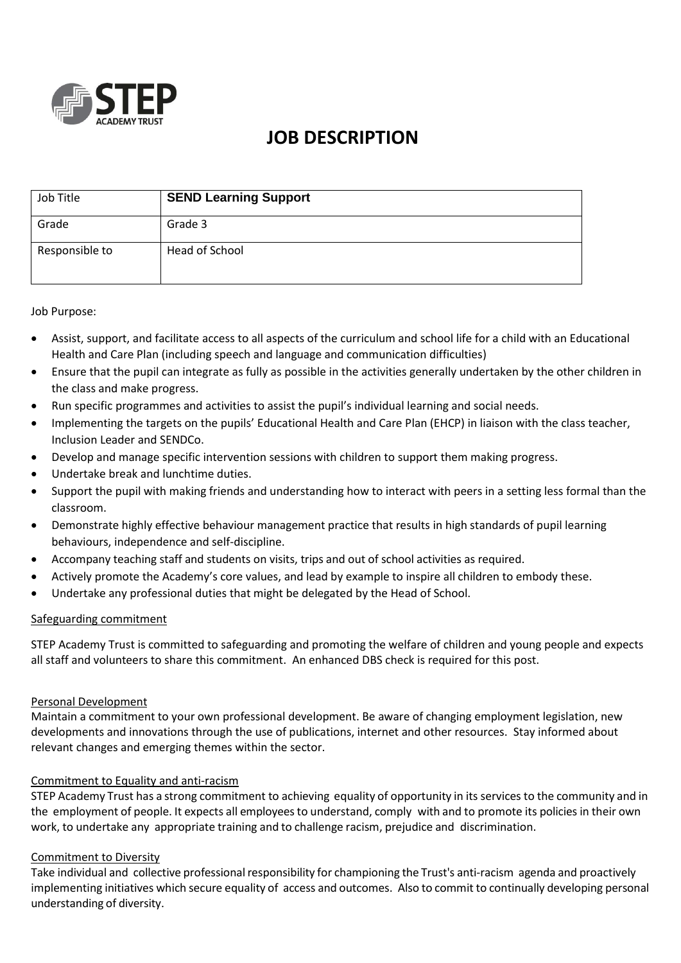

# **JOB DESCRIPTION**

| Job Title      | <b>SEND Learning Support</b> |
|----------------|------------------------------|
| Grade          | Grade 3                      |
| Responsible to | Head of School               |

Job Purpose:

- Assist, support, and facilitate access to all aspects of the curriculum and school life for a child with an Educational Health and Care Plan (including speech and language and communication difficulties)
- Ensure that the pupil can integrate as fully as possible in the activities generally undertaken by the other children in the class and make progress.
- Run specific programmes and activities to assist the pupil's individual learning and social needs.
- Implementing the targets on the pupils' Educational Health and Care Plan (EHCP) in liaison with the class teacher, Inclusion Leader and SENDCo.
- Develop and manage specific intervention sessions with children to support them making progress.
- Undertake break and lunchtime duties.
- Support the pupil with making friends and understanding how to interact with peers in a setting less formal than the classroom.
- Demonstrate highly effective behaviour management practice that results in high standards of pupil learning behaviours, independence and self-discipline.
- Accompany teaching staff and students on visits, trips and out of school activities as required.
- Actively promote the Academy's core values, and lead by example to inspire all children to embody these.
- Undertake any professional duties that might be delegated by the Head of School.

## Safeguarding commitment

STEP Academy Trust is committed to safeguarding and promoting the welfare of children and young people and expects all staff and volunteers to share this commitment. An enhanced DBS check is required for this post.

## Personal Development

Maintain a commitment to your own professional development. Be aware of changing employment legislation, new developments and innovations through the use of publications, internet and other resources. Stay informed about relevant changes and emerging themes within the sector.

## Commitment to Equality and anti-racism

STEP Academy Trust has a strong commitment to achieving equality of opportunity in its services to the community and in the employment of people. It expects all employeesto understand, comply with and to promote its policies in their own work, to undertake any appropriate training and to challenge racism, prejudice and discrimination.

## Commitment to Diversity

Take individual and collective professionalresponsibility for championing the Trust's anti-racism agenda and proactively implementing initiatives which secure equality of access and outcomes. Also to commit to continually developing personal understanding of diversity.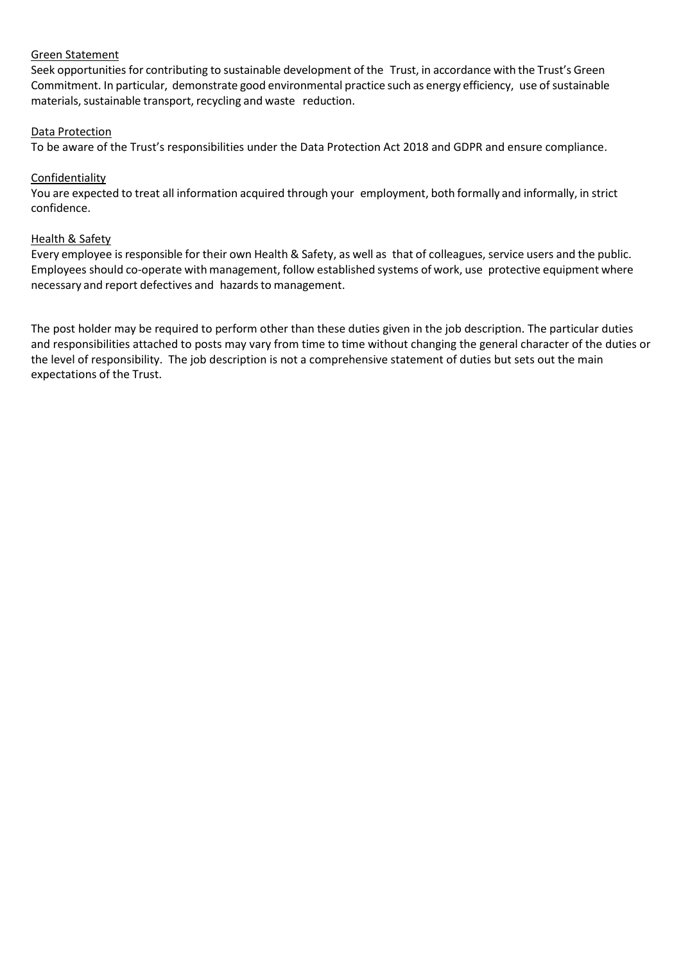# Green Statement

Seek opportunities for contributing to sustainable development of the Trust, in accordance with the Trust's Green Commitment. In particular, demonstrate good environmental practice such as energy efficiency, use of sustainable materials, sustainable transport, recycling and waste reduction.

# Data Protection

To be aware of the Trust's responsibilities under the Data Protection Act 2018 and GDPR and ensure compliance.

# Confidentiality

You are expected to treat all information acquired through your employment, both formally and informally, in strict confidence.

# Health & Safety

Every employee is responsible for their own Health & Safety, as well as that of colleagues, service users and the public. Employees should co-operate with management, follow established systems of work, use protective equipment where necessary and report defectives and hazards to management.

The post holder may be required to perform other than these duties given in the job description. The particular duties and responsibilities attached to posts may vary from time to time without changing the general character of the duties or the level of responsibility. The job description is not a comprehensive statement of duties but sets out the main expectations of the Trust.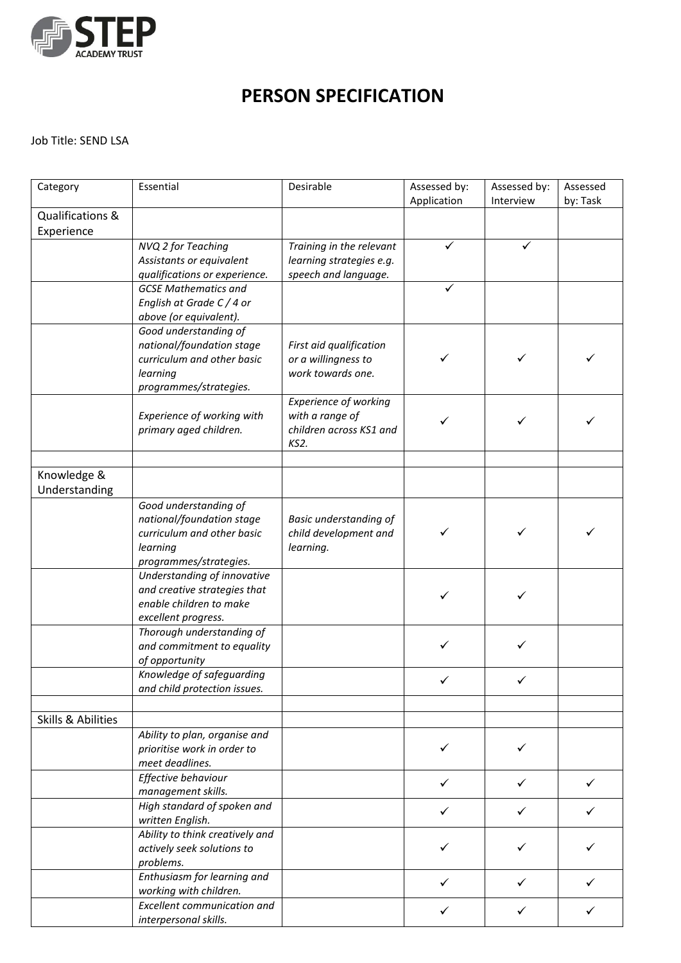

# **PERSON SPECIFICATION**

# Job Title: SEND LSA

| Category           | Essential                                                 | Desirable                     | Assessed by: | Assessed by: | Assessed |
|--------------------|-----------------------------------------------------------|-------------------------------|--------------|--------------|----------|
|                    |                                                           |                               | Application  | Interview    | by: Task |
| Qualifications &   |                                                           |                               |              |              |          |
| Experience         |                                                           |                               |              |              |          |
|                    | NVQ 2 for Teaching                                        | Training in the relevant      | ✓            | ✓            |          |
|                    | Assistants or equivalent                                  | learning strategies e.g.      |              |              |          |
|                    | qualifications or experience.                             | speech and language.          |              |              |          |
|                    | <b>GCSE Mathematics and</b>                               |                               | ✓            |              |          |
|                    | English at Grade C / 4 or                                 |                               |              |              |          |
|                    | above (or equivalent).                                    |                               |              |              |          |
|                    | Good understanding of                                     |                               |              |              |          |
|                    | national/foundation stage                                 | First aid qualification       |              |              |          |
|                    | curriculum and other basic                                | or a willingness to           | ✓            | ✓            |          |
|                    | learning                                                  | work towards one.             |              |              |          |
|                    | programmes/strategies.                                    |                               |              |              |          |
|                    |                                                           | <b>Experience of working</b>  |              |              |          |
|                    | Experience of working with                                | with a range of               | ✓            | ✓            |          |
|                    | primary aged children.                                    | children across KS1 and       |              |              |          |
|                    |                                                           | KS2.                          |              |              |          |
|                    |                                                           |                               |              |              |          |
| Knowledge &        |                                                           |                               |              |              |          |
| Understanding      |                                                           |                               |              |              |          |
|                    | Good understanding of                                     |                               |              |              |          |
|                    | national/foundation stage                                 | <b>Basic understanding of</b> |              |              |          |
|                    | curriculum and other basic                                | child development and         |              |              |          |
|                    | learning                                                  | learning.                     |              |              |          |
|                    | programmes/strategies.                                    |                               |              |              |          |
|                    | Understanding of innovative                               |                               |              |              |          |
|                    | and creative strategies that                              |                               | ✓            | ✓            |          |
|                    | enable children to make                                   |                               |              |              |          |
|                    | excellent progress.                                       |                               |              |              |          |
|                    | Thorough understanding of                                 |                               | $\checkmark$ | ✓            |          |
|                    | and commitment to equality                                |                               |              |              |          |
|                    | of opportunity                                            |                               |              |              |          |
|                    | Knowledge of safeguarding<br>and child protection issues. |                               | ✓            | ✓            |          |
|                    |                                                           |                               |              |              |          |
| Skills & Abilities |                                                           |                               |              |              |          |
|                    |                                                           |                               |              |              |          |
|                    | Ability to plan, organise and                             |                               | ✓            | ✓            |          |
|                    | prioritise work in order to<br>meet deadlines.            |                               |              |              |          |
|                    | Effective behaviour                                       |                               |              |              |          |
|                    | management skills.                                        |                               | $\checkmark$ | ✓            | ✓        |
|                    | High standard of spoken and                               |                               |              |              |          |
|                    | written English.                                          |                               | ✓            | ✓            |          |
|                    | Ability to think creatively and                           |                               |              |              |          |
|                    | actively seek solutions to                                |                               | ✓            | ✓            |          |
|                    | problems.                                                 |                               |              |              |          |
|                    | Enthusiasm for learning and                               |                               |              |              |          |
|                    | working with children.                                    |                               | ✓            | ✓            |          |
|                    | <b>Excellent communication and</b>                        |                               |              |              |          |
|                    | interpersonal skills.                                     |                               | ✓            | ✓            |          |
|                    |                                                           |                               |              |              |          |